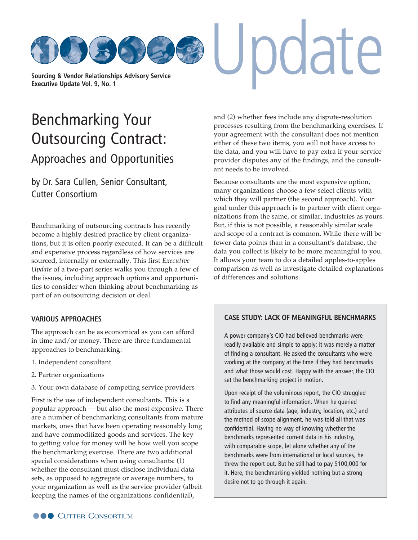**[Sourcing & Vendor Relationships Advisory Service](http://www.cutter.com) Executive Update Vol. 9, No. 1**

# Benchmarking Your [Outsourcing Contract:](http://www.cutter.com)  Approaches and Opportunities

by Dr. Sara Cullen, Senior Consultant, Cutter Consortium

Benchmarking of outsourcing contracts has recently become a highly desired practice by client organizations, but it is often poorly executed. It can be a difficult and expensive process regardless of how services are sourced, internally or externally. This first *Executive Update* of a two-part series walks you through a few of the issues, including approach options and opportunities to consider when thinking about benchmarking as part of an outsourcing decision or deal.

## **VARIOUS APPROACHES**

The approach can be as economical as you can afford in time and/or money. There are three fundamental approaches to benchmarking:

- 1. Independent consultant
- 2. Partner organizations
- 3. Your own database of competing service providers

First is the use of independent consultants. This is a popular approach — but also the most expensive. There are a number of benchmarking consultants from mature markets, ones that have been operating reasonably long and have commoditized goods and services. The key to getting value for money will be how well you scope the benchmarking exercise. There are two additional special considerations when using consultants: (1) whether the consultant must disclose individual data sets, as opposed to aggregate or average numbers, to your organization as well as the service provider (albeit keeping the names of the organizations confidential),

and (2) whether fees include any dispute-resolution processes resulting from the benchmarking exercises. If your agreement with the consultant does not mention either of these two items, you will not have access to the data, and you will have to pay extra if your service provider disputes any of the findings, and the consultant needs to be involved.

pdate

Because consultants are the most expensive option, many organizations choose a few select clients with which they will partner (the second approach). Your goal under this approach is to partner with client organizations from the same, or similar, industries as yours. But, if this is not possible, a reasonably similar scale and scope of a contract is common. While there will be fewer data points than in a consultant's database, the data you collect is likely to be more meaningful to you. It allows your team to do a detailed apples-to-apples comparison as well as investigate detailed explanations of differences and solutions.

## **CASE STUDY: LACK OF MEANINGFUL BENCHMARKS**

A power company's CIO had believed benchmarks were readily available and simple to apply; it was merely a matter of finding a consultant. He asked the consultants who were working at the company at the time if they had benchmarks and what those would cost. Happy with the answer, the CIO set the benchmarking project in motion.

Upon receipt of the voluminous report, the CIO struggled to find any meaningful information. When he queried attributes of source data (age, industry, location, etc.) and the method of scope alignment, he was told all that was confidential. Having no way of knowing whether the benchmarks represented current data in his industry, with comparable scope, let alone whether any of the benchmarks were from international or local sources, he threw the report out. But he still had to pay \$100,000 for it. Here, the benchmarking yielded nothing but a strong desire not to go through it again.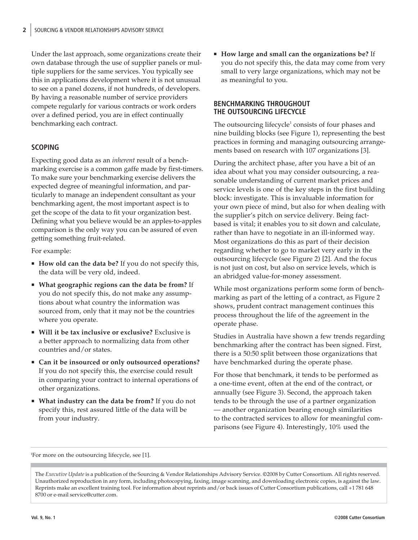Under the last approach, some organizations create their own database through the use of supplier panels or multiple suppliers for the same services. You typically see this in applications development where it is not unusual to see on a panel dozens, if not hundreds, of developers. By having a reasonable number of service providers compete regularly for various contracts or work orders over a defined period, you are in effect continually benchmarking each contract.

## **SCOPING**

Expecting good data as an *inherent* result of a benchmarking exercise is a common gaffe made by first-timers. To make sure your benchmarking exercise delivers the expected degree of meaningful information, and particularly to manage an independent consultant as your benchmarking agent, the most important aspect is to get the scope of the data to fit your organization best. Defining what you believe would be an apples-to-apples comparison is the only way you can be assured of even getting something fruit-related.

For example:

- **How old can the data be?** If you do not specify this, the data will be very old, indeed.
- **What geographic regions can the data be from?** If you do not specify this, do not make any assumptions about what country the information was sourced from, only that it may not be the countries where you operate.
- **Will it be tax inclusive or exclusive?** Exclusive is a better approach to normalizing data from other countries and/or states.
- **Can it be insourced or only outsourced operations?** If you do not specify this, the exercise could result in comparing your contract to internal operations of other organizations.
- **What industry can the data be from?** If you do not specify this, rest assured little of the data will be from your industry.

 **How large and small can the organizations be?** If you do not specify this, the data may come from very small to very large organizations, which may not be as meaningful to you.

## **BENCHMARKING THROUGHOUT THE OUTSOURCING LIFECYCLE**

The outsourcing lifecycle $1$  consists of four phases and nine building blocks (see Figure 1), representing the best practices in forming and managing outsourcing arrangements based on research with 107 organizations [3].

During the architect phase, after you have a bit of an idea about what you may consider outsourcing, a reasonable understanding of current market prices and service levels is one of the key steps in the first building block: investigate. This is invaluable information for your own piece of mind, but also for when dealing with the supplier's pitch on service delivery. Being factbased is vital; it enables you to sit down and calculate, rather than have to negotiate in an ill-informed way. Most organizations do this as part of their decision regarding whether to go to market very early in the outsourcing lifecycle (see Figure 2) [2]. And the focus is not just on cost, but also on service levels, which is an abridged value-for-money assessment.

While most organizations perform some form of benchmarking as part of the letting of a contract, as Figure 2 shows, prudent contract management continues this process throughout the life of the agreement in the operate phase.

Studies in Australia have shown a few trends regarding benchmarking after the contract has been signed. First, there is a 50:50 split between those organizations that have benchmarked during the operate phase.

For those that benchmark, it tends to be performed as a one-time event, often at the end of the contract, or annually (see Figure 3). Second, the approach taken tends to be through the use of a partner organization — another organization bearing enough similarities to the contracted services to allow for meaningful comparisons (see Figure 4). Interestingly, 10% used the

1 For more on the outsourcing lifecycle, see [1].

The *Executive Update* is a publication of the Sourcing & Vendor Relationships Advisory Service. ©2008 by Cutter Consortium. All rights reserved. Unauthorized reproduction in any form, including photocopying, faxing, image scanning, and downloading electronic copies, is against the law. Reprints make an excellent training tool. For information about reprints and/or back issues of Cutter Consortium publications, call +1 781 648 8700 [or e-mail service@cutter.com.](mailto:service@cutter.com)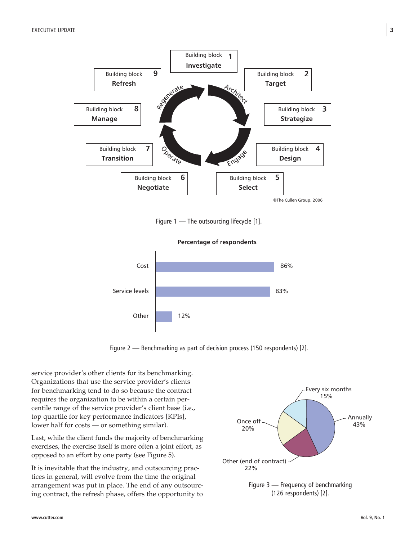

Figure 1 — The outsourcing lifecycle [1].

**Percentage of respondents**



Figure 2 — Benchmarking as part of decision process (150 respondents) [2].

service provider's other clients for its benchmarking. Organizations that use the service provider's clients for benchmarking tend to do so because the contract requires the organization to be within a certain percentile range of the service provider's client base (i.e., top quartile for key performance indicators [KPIs], lower half for costs — or something similar).

Last, while the client funds the majority of benchmarking exercises, the exercise itself is more often a joint effort, as opposed to an effort by one party (see Figure 5).

It is inevitable that the industry, and outsourcing practices in general, will evolve from the time the original arrangement was put in place. The end of any outsourcing contract, the refresh phase, offers the opportunity to

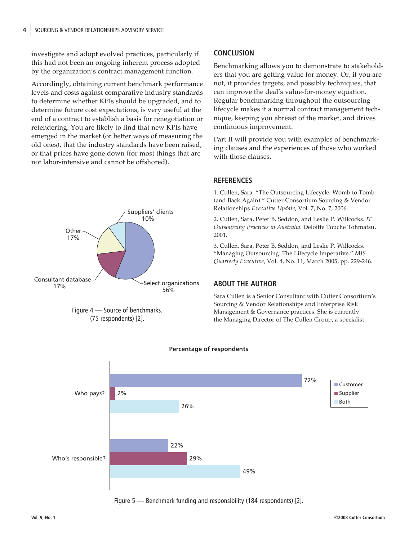investigate and adopt evolved practices, particularly if this had not been an ongoing inherent process adopted by the organization's contract management function.

Accordingly, obtaining current benchmark performance levels and costs against comparative industry standards to determine whether KPIs should be upgraded, and to determine future cost expectations, is very useful at the end of a contract to establish a basis for renegotiation or retendering. You are likely to find that new KPIs have emerged in the market (or better ways of measuring the old ones), that the industry standards have been raised, or that prices have gone down (for most things that are not labor-intensive and cannot be offshored).





## **CONCLUSION**

Benchmarking allows you to demonstrate to stakeholders that you are getting value for money. Or, if you are not, it provides targets, and possibly techniques, that can improve the deal's value-for-money equation. Regular benchmarking throughout the outsourcing lifecycle makes it a normal contract management technique, keeping you abreast of the market, and drives continuous improvement.

Part II will provide you with examples of benchmarking clauses and the experiences of those who worked with those clauses.

## **REFERENCES**

1. Cullen, Sara. "The Outsourcing Lifecycle: Womb to Tomb (and Back Again)." Cutter Consortium Sourcing & Vendor Relationships *Executive Update*, Vol. 7, No. 7, 2006.

2. Cullen, Sara, Peter B. Seddon, and Leslie P. Willcocks. *IT Outsourcing Practices in Australia*. Deloitte Touche Tohmatsu, 2001.

3. Cullen, Sara, Peter B. Seddon, and Leslie P. Willcocks. "Managing Outsourcing: The Lifecycle Imperative." *MIS Quarterly Executive*, Vol. 4, No. 11, March 2005, pp. 229-246.

## **ABOUT THE AUTHOR**

Sara Cullen is a Senior Consultant with Cutter Consortium's Sourcing & Vendor Relationships and Enterprise Risk Management & Governance practices. She is currently the Managing Director of The Cullen Group, a specialist



**Percentage of respondents**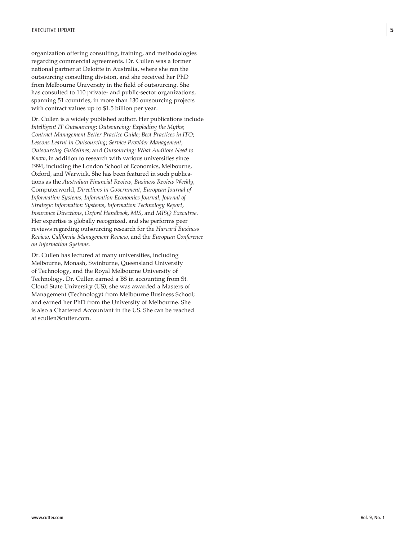organization offering consulting, training, and methodologies regarding commercial agreements. Dr. Cullen was a former national partner at Deloitte in Australia, where she ran the outsourcing consulting division, and she received her PhD from Melbourne University in the field of outsourcing. She has consulted to 110 private- and public-sector organizations, spanning 51 countries, in more than 130 outsourcing projects with contract values up to \$1.5 billion per year.

Dr. Cullen is a widely published author. Her publications include *Intelligent IT Outsourcing*; *Outsourcing: Exploding the Myths*; *Contract Management Better Practice Guide*; *Best Practices in ITO*; *Lessons Learnt in Outsourcing*; *Service Provider Management*; *Outsourcing Guidelines*; and *Outsourcing: What Auditors Need to Know*, in addition to research with various universities since 1994, including the London School of Economics, Melbourne, Oxford, and Warwick. She has been featured in such publications as the *Australian Financial Review*, *Business Review Weekly*, Computerworld, *Directions in Government*, *European Journal of Information Systems*, *Information Economics Journal*, *Journal of Strategic Information Systems*, *Information Technology Report*, *Insurance Directions*, *Oxford Handbook*, *MIS*, and *MISQ Executive*. Her expertise is globally recognized, and she performs peer reviews regarding outsourcing research for the *Harvard Business Review*, *California Management Review*, and the *European Conference on Information Systems*.

Dr. Cullen has lectured at many universities, including Melbourne, Monash, Swinburne, Queensland University of Technology, and the Royal Melbourne University of Technology. Dr. Cullen earned a BS in accounting from St. Cloud State University (US); she was awarded a Masters of Management (Technology) from Melbourne Business School; and earned her PhD from the University of Melbourne. She is also a Chartered Accountant in the US. She can be reached at scullen@cutter.com.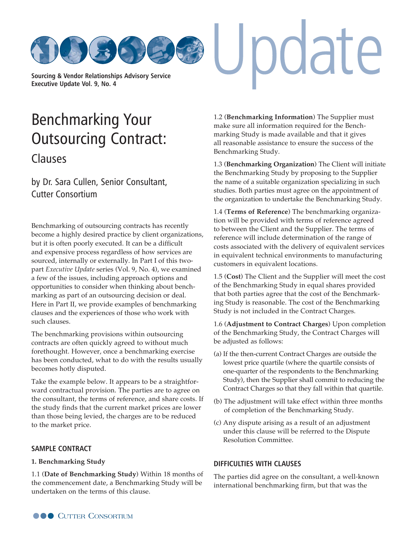**[Sourcing & Vendor Relationships Advisory Service](http://www.cutter.com) Executive Update Vol. 9, No. 4**

## Benchmarking Your [Outsourcing Contract:](http://www.cutter.com) Clauses

by Dr. Sara Cullen, Senior Consultant, Cutter Consortium

Benchmarking of outsourcing contracts has recently become a highly desired practice by client organizations, but it is often poorly executed. It can be a difficult and expensive process regardless of how services are sourced, internally or externally. In Part I of this twopart *Executive Update* series (Vol. 9, No. 4), we examined a few of the issues, including approach options and opportunities to consider when thinking about benchmarking as part of an outsourcing decision or deal. Here in Part II, we provide examples of benchmarking clauses and the experiences of those who work with such clauses.

The benchmarking provisions within outsourcing contracts are often quickly agreed to without much forethought. However, once a benchmarking exercise has been conducted, what to do with the results usually becomes hotly disputed.

Take the example below. It appears to be a straightforward contractual provision. The parties are to agree on the consultant, the terms of reference, and share costs. If the study finds that the current market prices are lower than those being levied, the charges are to be reduced to the market price.

### **SAMPLE CONTRACT**

### **1. Benchmarking Study**

1.1 (**Date of Benchmarking Study**) Within 18 months of the commencement date, a Benchmarking Study will be undertaken on the terms of this clause.

1.2 (**Benchmarking Information**) The Supplier must make sure all information required for the Benchmarking Study is made available and that it gives all reasonable assistance to ensure the success of the Benchmarking Study.

pdate

1.3 (**Benchmarking Organization**) The Client will initiate the Benchmarking Study by proposing to the Supplier the name of a suitable organization specializing in such studies. Both parties must agree on the appointment of the organization to undertake the Benchmarking Study.

1.4 (**Terms of Reference**) The benchmarking organization will be provided with terms of reference agreed to between the Client and the Supplier. The terms of reference will include determination of the range of costs associated with the delivery of equivalent services in equivalent technical environments to manufacturing customers in equivalent locations.

1.5 (**Cost**) The Client and the Supplier will meet the cost of the Benchmarking Study in equal shares provided that both parties agree that the cost of the Benchmarking Study is reasonable. The cost of the Benchmarking Study is not included in the Contract Charges.

1.6 (**Adjustment to Contract Charges**) Upon completion of the Benchmarking Study, the Contract Charges will be adjusted as follows:

- (a) If the then-current Contract Charges are outside the lowest price quartile (where the quartile consists of one-quarter of the respondents to the Benchmarking Study), then the Supplier shall commit to reducing the Contract Charges so that they fall within that quartile.
- (b) The adjustment will take effect within three months of completion of the Benchmarking Study.
- (c) Any dispute arising as a result of an adjustment under this clause will be referred to the Dispute Resolution Committee.

### **DIFFICULTIES WITH CLAUSES**

The parties did agree on the consultant, a well-known international benchmarking firm, but that was the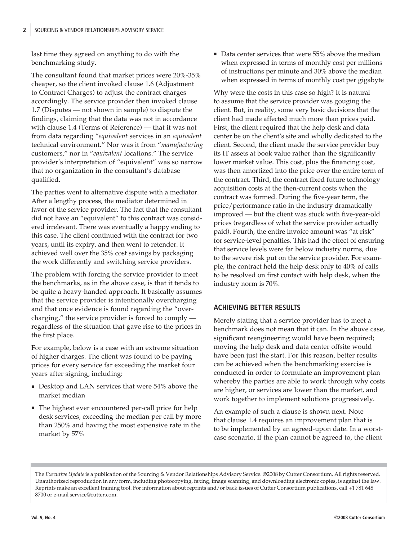last time they agreed on anything to do with the benchmarking study.

The consultant found that market prices were 20%-35% cheaper, so the client invoked clause 1.6 (Adjustment to Contract Charges) to adjust the contract charges accordingly. The service provider then invoked clause 1.7 (Disputes — not shown in sample) to dispute the findings, claiming that the data was not in accordance with clause 1.4 (Terms of Reference) — that it was not from data regarding "*equivalent* services in an *equivalent* technical environment." Nor was it from "*manufacturing* customers," nor in "*equivalent* locations." The service provider's interpretation of "equivalent" was so narrow that no organization in the consultant's database qualified.

The parties went to alternative dispute with a mediator. After a lengthy process, the mediator determined in favor of the service provider. The fact that the consultant did not have an "equivalent" to this contract was considered irrelevant. There was eventually a happy ending to this case. The client continued with the contract for two years, until its expiry, and then went to retender. It achieved well over the 35% cost savings by packaging the work differently and switching service providers.

The problem with forcing the service provider to meet the benchmarks, as in the above case, is that it tends to be quite a heavy-handed approach. It basically assumes that the service provider is intentionally overcharging and that once evidence is found regarding the "overcharging," the service provider is forced to comply regardless of the situation that gave rise to the prices in the first place.

For example, below is a case with an extreme situation of higher charges. The client was found to be paying prices for every service far exceeding the market four years after signing, including:

- Desktop and LAN services that were 54% above the market median
- The highest ever encountered per-call price for help desk services, exceeding the median per call by more than 250% and having the most expensive rate in the market by 57%

■ Data center services that were 55% above the median when expressed in terms of monthly cost per millions of instructions per minute and 30% above the median when expressed in terms of monthly cost per gigabyte

Why were the costs in this case so high? It is natural to assume that the service provider was gouging the client. But, in reality, some very basic decisions that the client had made affected much more than prices paid. First, the client required that the help desk and data center be on the client's site and wholly dedicated to the client. Second, the client made the service provider buy its IT assets at book value rather than the significantly lower market value. This cost, plus the financing cost, was then amortized into the price over the entire term of the contract. Third, the contract fixed future technology acquisition costs at the then-current costs when the contract was formed. During the five-year term, the price/performance ratio in the industry dramatically improved — but the client was stuck with five-year-old prices (regardless of what the service provider actually paid). Fourth, the entire invoice amount was "at risk" for service-level penalties. This had the effect of ensuring that service levels were far below industry norms, due to the severe risk put on the service provider. For example, the contract held the help desk only to 40% of calls to be resolved on first contact with help desk, when the industry norm is 70%.

## **ACHIEVING BETTER RESULTS**

Merely stating that a service provider has to meet a benchmark does not mean that it can. In the above case, significant reengineering would have been required; moving the help desk and data center offsite would have been just the start. For this reason, better results can be achieved when the benchmarking exercise is conducted in order to formulate an improvement plan whereby the parties are able to work through why costs are higher, or services are lower than the market, and work together to implement solutions progressively.

An example of such a clause is shown next. Note that clause 1.4 requires an improvement plan that is to be implemented by an agreed-upon date. In a worstcase scenario, if the plan cannot be agreed to, the client

The *Executive Update* is a publication of the Sourcing & Vendor Relationships Advisory Service. ©2008 by Cutter Consortium. All rights reserved. Unauthorized reproduction in any form, including photocopying, faxing, image scanning, and downloading electronic copies, is against the law. Reprints make an excellent training tool. For information about reprints and/or back issues of Cutter Consortium publications, call +1 781 648 8700 or e-ma[il service@cutter.com.](mailto:service@cutter.com)